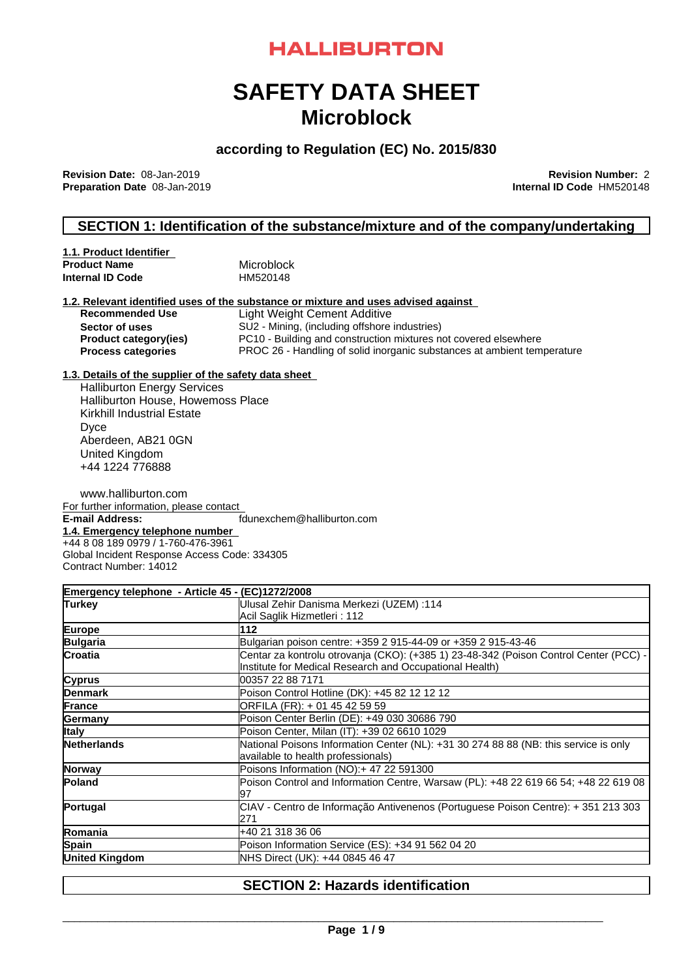# **HALLIBURTON**

# **SAFETY DATA SHEET Microblock**

## **according to Regulation (EC) No. 2015/830**

**Revision Date:** 08-Jan-2019 **Revision Number:** 2 **Preparation Date** 08-Jan-2019

## **SECTION 1: Identification of the substance/mixture and of the company/undertaking**

| 1.1. Product Identifier |            |
|-------------------------|------------|
| <b>Product Name</b>     | Microblock |
| Internal ID Code        | HM520148   |

#### **1.2. Relevant identified uses of the substance or mixture and uses advised against**

| <b>Recommended Use</b>       | Light Weight Cement Additive                                            |
|------------------------------|-------------------------------------------------------------------------|
| Sector of uses               | SU2 - Mining, (including offshore industries)                           |
| <b>Product category(ies)</b> | PC10 - Building and construction mixtures not covered elsewhere         |
| <b>Process categories</b>    | PROC 26 - Handling of solid inorganic substances at ambient temperature |

#### **1.3. Details of the supplier of the safety data sheet**

Halliburton Energy Services Halliburton House, Howemoss Place Kirkhill Industrial Estate Dyce Aberdeen, AB21 0GN United Kingdom +44 1224 776888

www.halliburton.com For further information, please contact **E-mail Address:** fdunexchem@halliburton.com **1.4. Emergency telephone number** +44 8 08 189 0979 / 1-760-476-3961 Global Incident Response Access Code: 334305 Contract Number: 14012

**Emergency telephone - Article 45 - (EC)1272/2008 Turkey** Ulusal Zehir Danisma Merkezi (UZEM) :114 Acil Saglik Hizmetleri : 112 **Europe 112 Bulgaria Bulgarian poison centre: +359 2 915-44-09 or +359 2 915-43-46 Croatia** Centar za kontrolu otrovanja (CKO): (+385 1) 23-48-342 (Poison Control Center (PCC) - Institute for Medical Research and Occupational Health) **Cyprus** 00357 22 88 7171 **Denmark** Poison Control Hotline (DK): +45 82 12 12 12 **France ORFILA** (FR): + 01 45 42 59 59 **Germany** Poison Center Berlin (DE): +49 030 30686 790 **Italy** Poison Center, Milan (IT): +39 02 6610 1029 **Netherlands** National Poisons Information Center (NL): +31 30 274 88 88 (NB: this service is only available to health professionals) **Norway Poisons Information (NO):+47 22 591300 Poland** Poison Control and Information Centre, Warsaw (PL): +48 22 619 66 54; +48 22 619 08 97 **Portugal** CIAV - Centro de Informação Antivenenos (Portuguese Poison Centre): + 351 213 303 271 **Romania** +40 21 318 36 06 **Spain** Poison Information Service (ES): +34 91 562 04 20 **United Kingdom** NHS Direct (UK): +44 0845 46 47

### **SECTION 2: Hazards identification**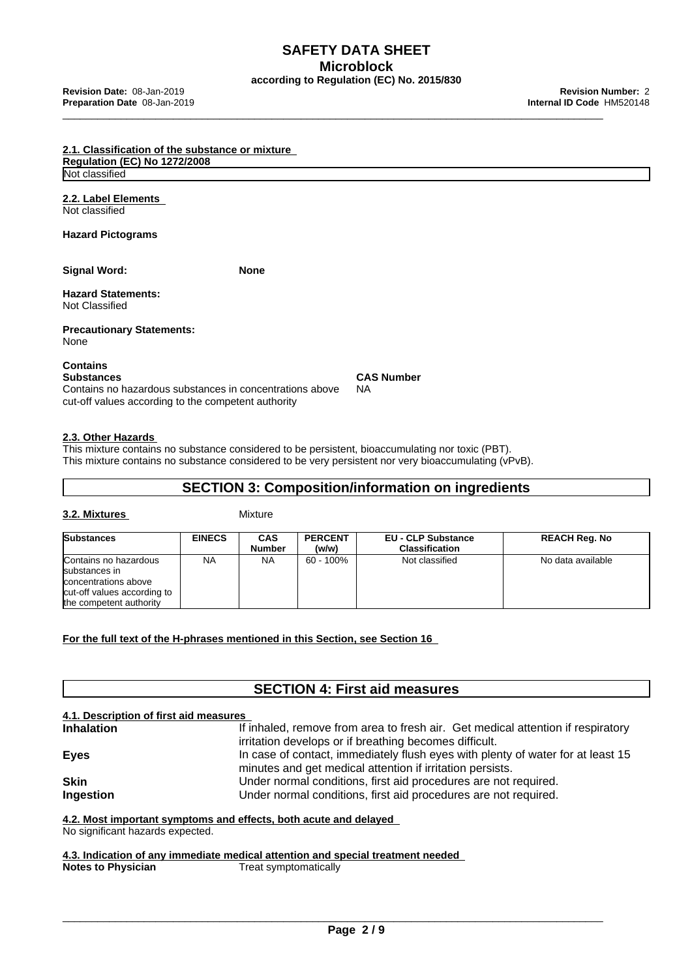**SAFETY DATA SHEET Microblock according to Regulation (EC) No. 2015/830**

| 2.1. Classification of the substance or mixture                                                                                                  |             |                                |  |
|--------------------------------------------------------------------------------------------------------------------------------------------------|-------------|--------------------------------|--|
| <b>Regulation (EC) No 1272/2008</b>                                                                                                              |             |                                |  |
| Not classified                                                                                                                                   |             |                                |  |
| 2.2. Label Elements<br>Not classified                                                                                                            |             |                                |  |
| <b>Hazard Pictograms</b>                                                                                                                         |             |                                |  |
| <b>Signal Word:</b>                                                                                                                              | <b>None</b> |                                |  |
| <b>Hazard Statements:</b><br>Not Classified                                                                                                      |             |                                |  |
| <b>Precautionary Statements:</b><br>None                                                                                                         |             |                                |  |
| <b>Contains</b><br>Substances<br>Contains no hazardous substances in concentrations above<br>cut-off values according to the competent authority |             | <b>CAS Number</b><br><b>NA</b> |  |

## **2.3. Other Hazards**

This mixture contains no substance considered to be persistent, bioaccumulating nor toxic (PBT). This mixture contains no substance considered to be very persistent nor very bioaccumulating (vPvB).

## **SECTION 3: Composition/information on ingredients**

#### **3.2. Mixtures** Mixture

| <b>Substances</b>                                                                                                        | <b>EINECS</b> | CAS<br>Number | <b>PERCENT</b><br>(w/w) | <b>EU - CLP Substance</b><br><b>Classification</b> | <b>REACH Reg. No</b> |
|--------------------------------------------------------------------------------------------------------------------------|---------------|---------------|-------------------------|----------------------------------------------------|----------------------|
| Contains no hazardous<br>substances in<br>concentrations above<br>cut-off values according to<br>the competent authority | <b>NA</b>     | NA            | 60 - 100%               | Not classified                                     | No data available    |

**For the full text of the H-phrases mentioned in this Section, see Section 16**

## **SECTION 4: First aid measures**

#### **4.1. Description of first aid measures**

| <b>Inhalation</b> | If inhaled, remove from area to fresh air. Get medical attention if respiratory |
|-------------------|---------------------------------------------------------------------------------|
|                   | irritation develops or if breathing becomes difficult.                          |
| <b>Eyes</b>       | In case of contact, immediately flush eyes with plenty of water for at least 15 |
|                   | minutes and get medical attention if irritation persists.                       |
| <b>Skin</b>       | Under normal conditions, first aid procedures are not required.                 |
| Ingestion         | Under normal conditions, first aid procedures are not required.                 |
|                   |                                                                                 |

#### **4.2. Most important symptoms and effects, both acute and delayed**

No significant hazards expected.

**4.3. Indication of any immediate medical attention and special treatment needed Notes to Physician** Treat symptomatically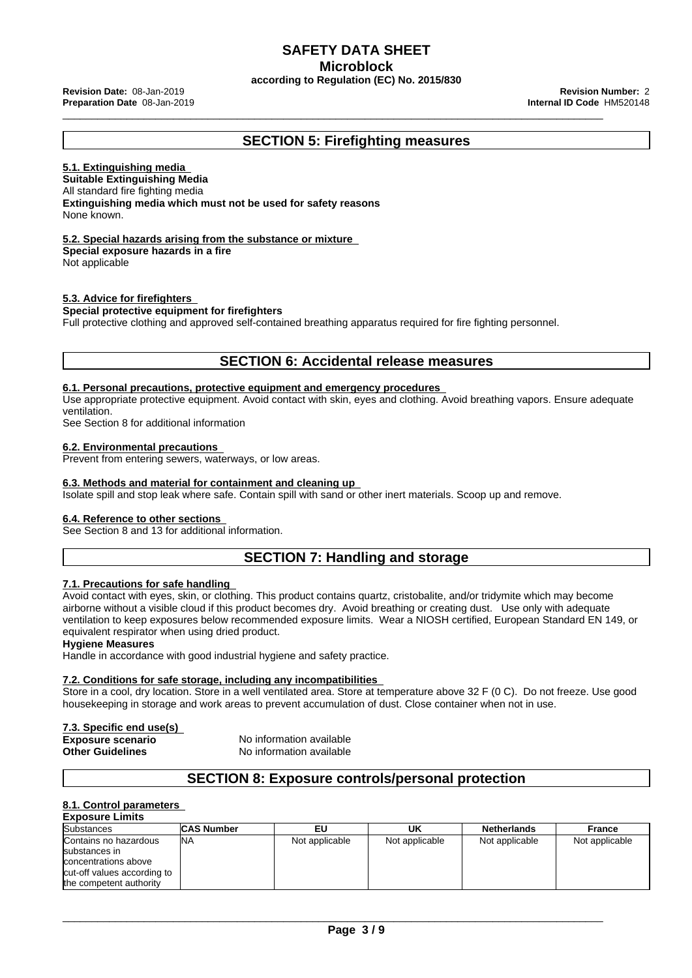### **SAFETY DATA SHEET Microblock**

**according to Regulation (EC) No. 2015/830**

\_\_\_\_\_\_\_\_\_\_\_\_\_\_\_\_\_\_\_\_\_\_\_\_\_\_\_\_\_\_\_\_\_\_\_\_\_\_\_\_\_\_\_\_\_\_\_\_\_\_\_\_\_\_\_\_\_\_\_\_\_\_\_\_\_\_\_\_\_\_\_\_\_\_\_\_\_\_\_\_\_\_\_\_\_\_\_\_\_\_\_\_\_ **Revision Date:** 08-Jan-2019 **Revision Number:** <sup>2</sup> **Preparation Date** 08-Jan-2019 **Internal ID Code** HM520148

## **SECTION 5: Firefighting measures**

#### **5.1. Extinguishing media**

**Suitable Extinguishing Media** All standard fire fighting media **Extinguishing media which must not be used for safety reasons** None known.

#### **5.2. Special hazards arising from the substance or mixture**

**Special exposure hazards in a fire**

Not applicable

#### **5.3. Advice for firefighters**

#### **Special protective equipment for firefighters**

Full protective clothing and approved self-contained breathing apparatus required for fire fighting personnel.

## **SECTION 6: Accidental release measures**

#### **6.1. Personal precautions, protective equipment and emergency procedures**

Use appropriate protective equipment. Avoid contact with skin, eyes and clothing. Avoid breathing vapors. Ensure adequate ventilation.

See Section 8 for additional information

#### **6.2. Environmental precautions**

Prevent from entering sewers, waterways, or low areas.

#### **6.3. Methods and material for containment and cleaning up**

Isolate spill and stop leak where safe. Contain spill with sand or other inert materials. Scoop up and remove.

#### **6.4. Reference to other sections**

See Section 8 and 13 for additional information.

## **SECTION 7: Handling and storage**

#### **7.1. Precautions for safe handling**

Avoid contact with eyes, skin, or clothing. This product contains quartz, cristobalite, and/or tridymite which may become airborne without a visible cloud if this product becomes dry. Avoid breathing or creating dust. Use only with adequate ventilation to keep exposures below recommended exposure limits. Wear a NIOSH certified, European Standard EN 149, or equivalent respirator when using dried product.

#### **Hygiene Measures**

Handle in accordance with good industrial hygiene and safety practice.

#### **7.2. Conditions for safe storage, including any incompatibilities**

Store in a cool, dry location. Store in a well ventilated area. Store at temperature above 32 F (0 C). Do not freeze. Use good housekeeping in storage and work areas to prevent accumulation of dust. Close container when not in use.

### **7.3. Specific end use(s)**

**Exposure scenario** No information available **Other Guidelines** No information available

### **SECTION 8: Exposure controls/personal protection**

#### **8.1. Control parameters**

| <b>Exposure Limits</b>                                                                                                   |                   |                |                |                    |                |
|--------------------------------------------------------------------------------------------------------------------------|-------------------|----------------|----------------|--------------------|----------------|
| <b>Substances</b>                                                                                                        | <b>CAS Number</b> | EU             | UK             | <b>Netherlands</b> | France         |
| Contains no hazardous<br>substances in<br>concentrations above<br>cut-off values according to<br>the competent authority | INA               | Not applicable | Not applicable | Not applicable     | Not applicable |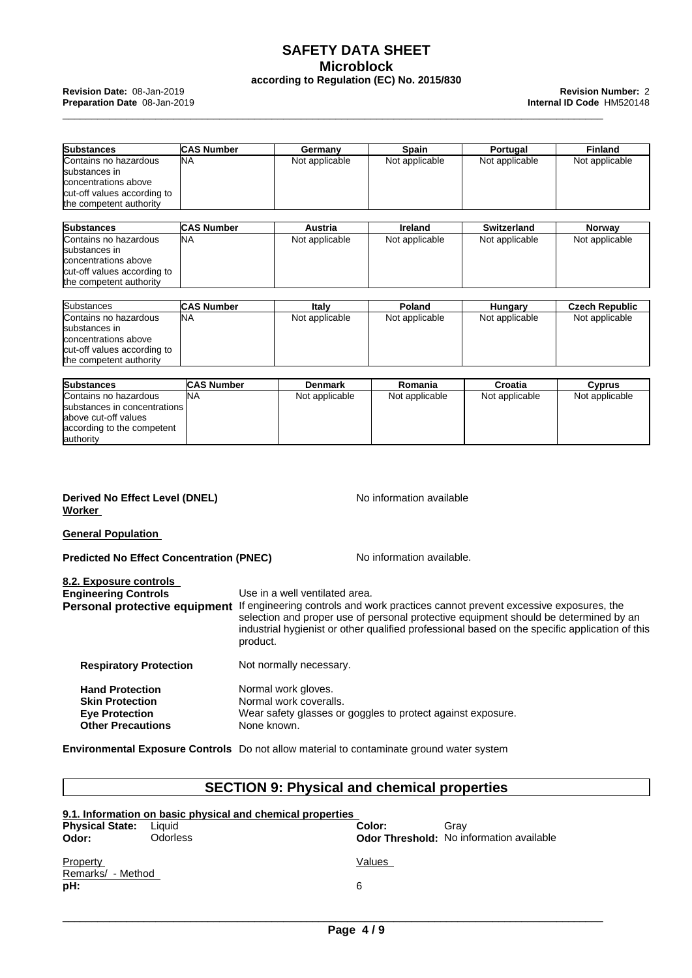## **SAFETY DATA SHEET Microblock according to Regulation (EC) No. 2015/830**

| <b>Substances</b>            | <b>ICAS Number</b> | Germany        | Spain          | Portugal           | <b>Finland</b>        |
|------------------------------|--------------------|----------------|----------------|--------------------|-----------------------|
| Contains no hazardous        | lna                | Not applicable | Not applicable | Not applicable     | Not applicable        |
| substances in                |                    |                |                |                    |                       |
| concentrations above         |                    |                |                |                    |                       |
| cut-off values according to  |                    |                |                |                    |                       |
| the competent authority      |                    |                |                |                    |                       |
|                              |                    |                |                |                    |                       |
| <b>Substances</b>            | <b>ICAS Number</b> | Austria        | Ireland        | <b>Switzerland</b> | Norway                |
| Contains no hazardous        | lna                | Not applicable | Not applicable | Not applicable     | Not applicable        |
| substances in                |                    |                |                |                    |                       |
| concentrations above         |                    |                |                |                    |                       |
| cut-off values according to  |                    |                |                |                    |                       |
| the competent authority      |                    |                |                |                    |                       |
|                              |                    |                |                |                    |                       |
| <b>Substances</b>            | <b>ICAS Number</b> | Italy          | Poland         | Hungary            | <b>Czech Republic</b> |
| Contains no hazardous        | lna                | Not applicable | Not applicable | Not applicable     | Not applicable        |
| substances in                |                    |                |                |                    |                       |
| concentrations above         |                    |                |                |                    |                       |
| cut-off values according to  |                    |                |                |                    |                       |
| the competent authority      |                    |                |                |                    |                       |
|                              |                    |                |                |                    |                       |
| <b>Substances</b>            | <b>CAS Number</b>  | <b>Denmark</b> | Romania        | Croatia            | <b>Cyprus</b>         |
| Contains no hazardous        | <b>NA</b>          | Not applicable | Not applicable | Not applicable     | Not applicable        |
| substances in concentrations |                    |                |                |                    |                       |
| above cut-off values         |                    |                |                |                    |                       |
| according to the competent   |                    |                |                |                    |                       |
| authority                    |                    |                |                |                    |                       |

#### **Derived No Effect Level (DNEL)** No information available **Worker**

**General Population**

**Predicted No Effect Concentration (PNEC) No information available.** 

| Use in a well ventilated area.<br>Personal protective equipment If engineering controls and work practices cannot prevent excessive exposures, the<br>selection and proper use of personal protective equipment should be determined by an<br>industrial hygienist or other qualified professional based on the specific application of this<br>product. |
|----------------------------------------------------------------------------------------------------------------------------------------------------------------------------------------------------------------------------------------------------------------------------------------------------------------------------------------------------------|
| Not normally necessary.                                                                                                                                                                                                                                                                                                                                  |
| Normal work gloves.<br>Normal work coveralls.<br>Wear safety glasses or goggles to protect against exposure.<br>None known.                                                                                                                                                                                                                              |
|                                                                                                                                                                                                                                                                                                                                                          |

**Environmental Exposure Controls** Do not allow material to contaminate ground water system

## **SECTION 9: Physical and chemical properties**

|                                      | 9.1. Information on basic physical and chemical properties |             |                                                 |
|--------------------------------------|------------------------------------------------------------|-------------|-------------------------------------------------|
| <b>Physical State:</b>               | Liauid                                                     | Color:      | Grav                                            |
| Odor:                                | <b>Odorless</b>                                            |             | <b>Odor Threshold:</b> No information available |
| Property<br>Remarks/ - Method<br>pH: |                                                            | Values<br>6 |                                                 |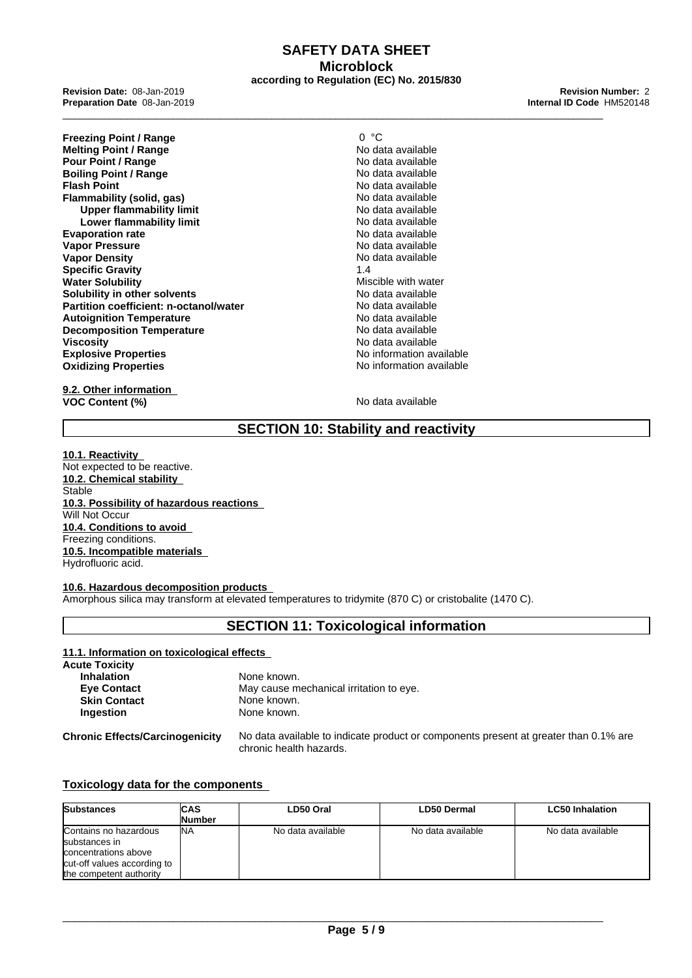## **SAFETY DATA SHEET Microblock according to Regulation (EC) No. 2015/830**

**Preparation Date** 08-Jan-2019 **Internal ID Code** HM520148

**Freezing Point / Range** 0 °C **Melting Point / Range No data available**<br> **Pour Point / Range** No data available **Pour Point / Range No data available**<br> **Roiling Point / Range No data available**<br>
No data available **Boiling Point / Range<br>Flash Point Flammability (solid, gas)** No data available<br>
Under flammability limit<br>
No data available **Upper flammability limit**<br> **Lower flammability limit**<br> **Lower flammability limit Lower flammability limit**<br> **leader of the Contract Contract Contract Contract Contract Contract Contract Contract Contract Contract Contra<br>
No data available Evaporation rate**<br> **Vapor Pressure**<br> **Vapor Pressure**<br> **Vapor Pressure Vapor Pressure Vapor Density No data available** No data available **Specific Gravity** 1.4 **Water Solubility Miscible with water<br>
<b>Solubility** in other solvents and the mater of the Muscular Muscular No data available **Solubility in other solvents**<br> **Partition coefficient: n-octanol/water** Modata available **Partition coefficient: n-octanol/water** No data available<br> **Autoignition Temperature**<br> **Autoignition Temperature Autoignition Temperature Decomposition Temperature No data available** No data available **Viscosity**<br> **Explosive Properties**<br> **Explosive Properties**<br> **Explosive Properties Explosive Properties**<br> **Explosive Properties**<br> **Oxidizing Properties**<br> **No information available Oxidizing Properties** 

**9.2. Other information VOC Content (%)** No data available

**Flash No data available**<br>**No data available** 

## **SECTION 10: Stability and reactivity**

**10.1. Reactivity** Not expected to be reactive. **10.2. Chemical stability** Stable **10.3. Possibility of hazardous reactions** Will Not Occur **10.4. Conditions to avoid** Freezing conditions. **10.5. Incompatible materials** Hydrofluoric acid.

#### **10.6. Hazardous decomposition products**

Amorphous silica may transform at elevated temperatures to tridymite (870 C) or cristobalite (1470 C).

## **SECTION 11: Toxicological information**

#### **11.1. Information on toxicological effects Acute Toxicity Inhalation** None known. **Eye Contact** May cause mechanical irritation to eye. **Skin Contact** None known. **Ingestion** None known.

**Chronic Effects/Carcinogenicity** No data available to indicate product or components present at greater than 0.1% are chronic health hazards.

#### **Toxicology data for the components**

| <b>Substances</b>                                                                                                        | ICAS    | LD50 Oral         | <b>LD50 Dermal</b> | <b>LC50 Inhalation</b> |
|--------------------------------------------------------------------------------------------------------------------------|---------|-------------------|--------------------|------------------------|
|                                                                                                                          | lNumber |                   |                    |                        |
| Contains no hazardous<br>substances in<br>concentrations above<br>cut-off values according to<br>the competent authority | INA     | No data available | No data available  | No data available      |

\_\_\_\_\_\_\_\_\_\_\_\_\_\_\_\_\_\_\_\_\_\_\_\_\_\_\_\_\_\_\_\_\_\_\_\_\_\_\_\_\_\_\_\_\_\_\_\_\_\_\_\_\_\_\_\_\_\_\_\_\_\_\_\_\_\_\_\_\_\_\_\_\_\_\_\_\_\_\_\_\_\_\_\_\_\_\_\_\_\_\_\_\_

\_\_\_\_\_\_\_\_\_\_\_\_\_\_\_\_\_\_\_\_\_\_\_\_\_\_\_\_\_\_\_\_\_\_\_\_\_\_\_\_\_\_\_\_\_\_\_\_\_\_\_\_\_\_\_\_\_\_\_\_\_\_\_\_\_\_\_\_\_\_\_\_\_\_\_\_\_\_\_\_\_\_\_\_\_\_\_\_\_\_\_\_\_ **Revision Date:** 08-Jan-2019 **Revision Number:** <sup>2</sup>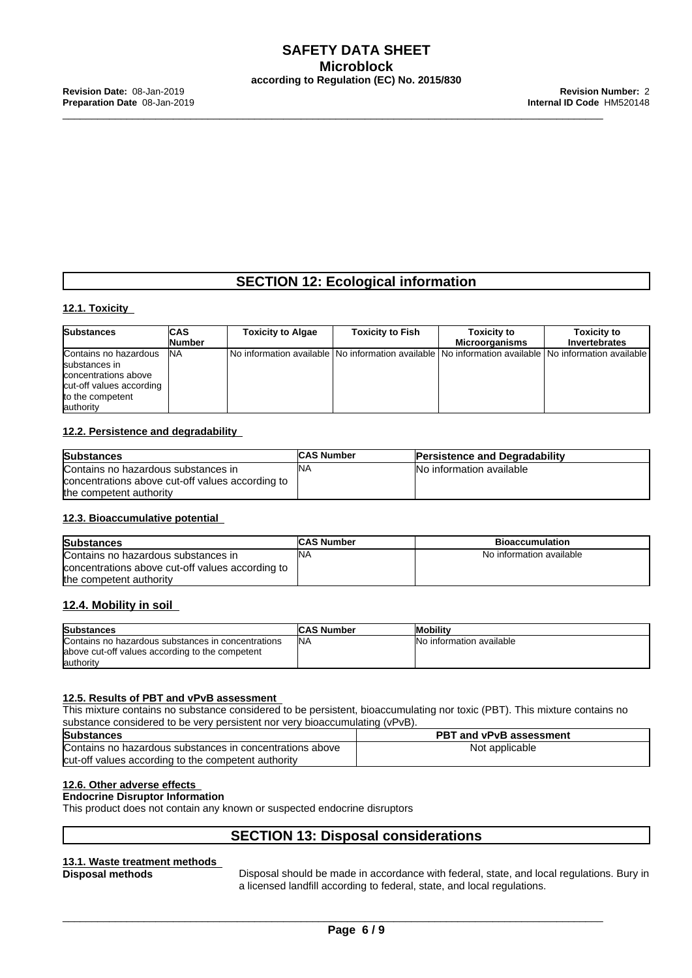## **SECTION 12: Ecological information**

#### **12.1. Toxicity**

| <b>Substances</b>        | <b>CAS</b>     | <b>Toxicity to Algae</b>                                                                                  | <b>Toxicity to Fish</b> | <b>Toxicity to</b>    | <b>Toxicity to</b>   |
|--------------------------|----------------|-----------------------------------------------------------------------------------------------------------|-------------------------|-----------------------|----------------------|
|                          | <b>INumber</b> |                                                                                                           |                         | <b>Microorganisms</b> | <b>Invertebrates</b> |
| Contains no hazardous    | INA            | No information available   No information available   No information available   No information available |                         |                       |                      |
| substances in            |                |                                                                                                           |                         |                       |                      |
| concentrations above     |                |                                                                                                           |                         |                       |                      |
| cut-off values according |                |                                                                                                           |                         |                       |                      |
| to the competent         |                |                                                                                                           |                         |                       |                      |
| authority                |                |                                                                                                           |                         |                       |                      |

#### **12.2. Persistence and degradability**

| <b>Substances</b>                                | <b>CAS Number</b> | <b>Persistence and Degradability</b> |
|--------------------------------------------------|-------------------|--------------------------------------|
| Contains no hazardous substances in              | 'NA               | INo information available            |
| concentrations above cut-off values according to |                   |                                      |
| the competent authority                          |                   |                                      |

#### **12.3. Bioaccumulative potential**

| <b>Substances</b>                                | <b>ICAS Number</b> | <b>Bioaccumulation</b>   |
|--------------------------------------------------|--------------------|--------------------------|
| Contains no hazardous substances in              | INA                | No information available |
| concentrations above cut-off values according to |                    |                          |
| the competent authority                          |                    |                          |

#### **12.4. Mobility in soil**

| <b>Substances</b>                                                                                     | <b>CAS Number</b> | <b>Mobility</b>                  |
|-------------------------------------------------------------------------------------------------------|-------------------|----------------------------------|
| Contains no hazardous substances in concentrations<br>above cut-off values according to the competent | INA               | <b>INo information available</b> |
| lauthority                                                                                            |                   |                                  |

#### **12.5. Results of PBT and vPvB assessment**

This mixture contains no substance considered to be persistent, bioaccumulating nor toxic (PBT). This mixture contains no substance considered to be very persistent nor very bioaccumulating (vPvB).

| <b>Substances</b>                                        | <b>PBT and vPvB assessment</b> |
|----------------------------------------------------------|--------------------------------|
| Contains no hazardous substances in concentrations above | Not applicable                 |
| cut-off values according to the competent authority      |                                |

#### **12.6. Other adverse effects**

## **Endocrine Disruptor Information**

This product does not contain any known or suspected endocrine disruptors

## **SECTION 13: Disposal considerations**

# **13.1. Waste treatment methods**

**Disposal methods** Disposal should be made in accordance with federal, state, and local regulations. Bury in a licensed landfill according to federal, state, and local regulations.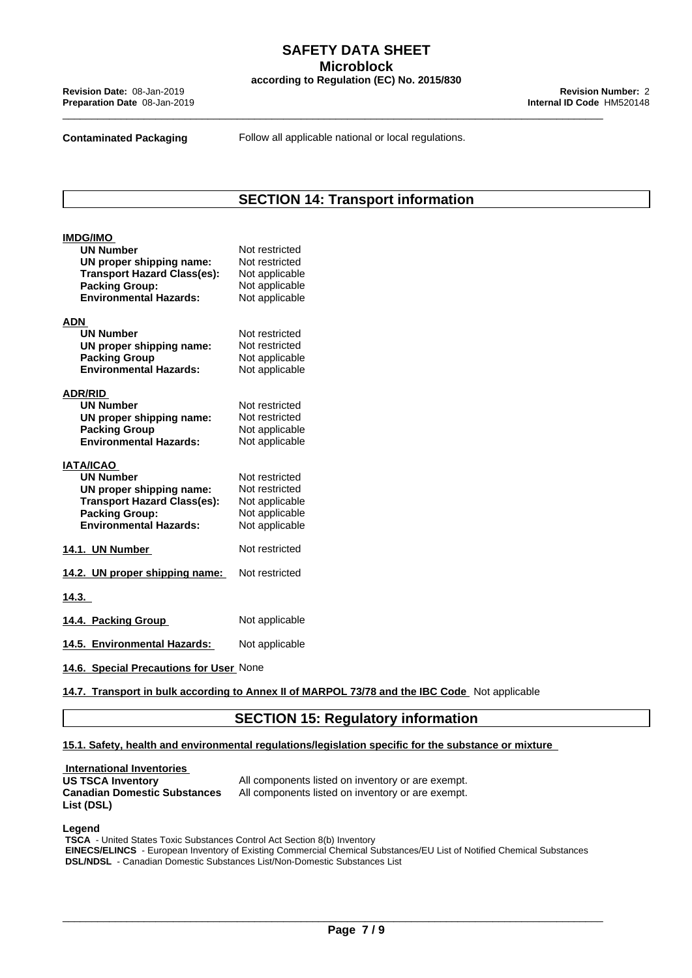**Contaminated Packaging Follow all applicable national or local regulations.** 

**SECTION 14: Transport information**

| <b>IMDG/IMO</b><br><b>UN Number</b><br>UN proper shipping name:<br><b>Transport Hazard Class(es):</b><br><b>Packing Group:</b><br><b>Environmental Hazards:</b>  | Not restricted<br>Not restricted<br>Not applicable<br>Not applicable<br>Not applicable |
|------------------------------------------------------------------------------------------------------------------------------------------------------------------|----------------------------------------------------------------------------------------|
| <b>ADN</b><br><b>UN Number</b><br>UN proper shipping name:<br><b>Packing Group</b><br><b>Environmental Hazards:</b>                                              | Not restricted<br>Not restricted<br>Not applicable<br>Not applicable                   |
| <b>ADR/RID</b><br><b>UN Number</b><br>UN proper shipping name:<br><b>Packing Group</b><br><b>Environmental Hazards:</b>                                          | Not restricted<br>Not restricted<br>Not applicable<br>Not applicable                   |
| <b>IATA/ICAO</b><br><b>UN Number</b><br>UN proper shipping name:<br><b>Transport Hazard Class(es):</b><br><b>Packing Group:</b><br><b>Environmental Hazards:</b> | Not restricted<br>Not restricted<br>Not applicable<br>Not applicable<br>Not applicable |
| 14.1. UN Number                                                                                                                                                  | Not restricted                                                                         |
| 14.2. UN proper shipping name:                                                                                                                                   | Not restricted                                                                         |
| 14.3.                                                                                                                                                            |                                                                                        |
| 14.4. Packing Group                                                                                                                                              | Not applicable                                                                         |
| 14.5. Environmental Hazards:                                                                                                                                     | Not applicable                                                                         |
| 14.6. Special Precautions for User None                                                                                                                          |                                                                                        |

**14.7. Transport in bulk according to Annex II ofMARPOL 73/78 and the IBC Code** Not applicable

## **SECTION 15: Regulatory information**

#### **15.1. Safety, health and environmental regulations/legislation specific for the substance or mixture**

**International Inventories**<br>US TSCA Inventory **Canadian Domestic Substances List (DSL)**

All components listed on inventory or are exempt. All components listed on inventory or are exempt.

#### **Legend**

 **TSCA** - United States Toxic Substances Control Act Section 8(b) Inventory  **EINECS/ELINCS** - European Inventory of Existing Commercial Chemical Substances/EU List of Notified Chemical Substances  **DSL/NDSL** - Canadian Domestic Substances List/Non-Domestic Substances List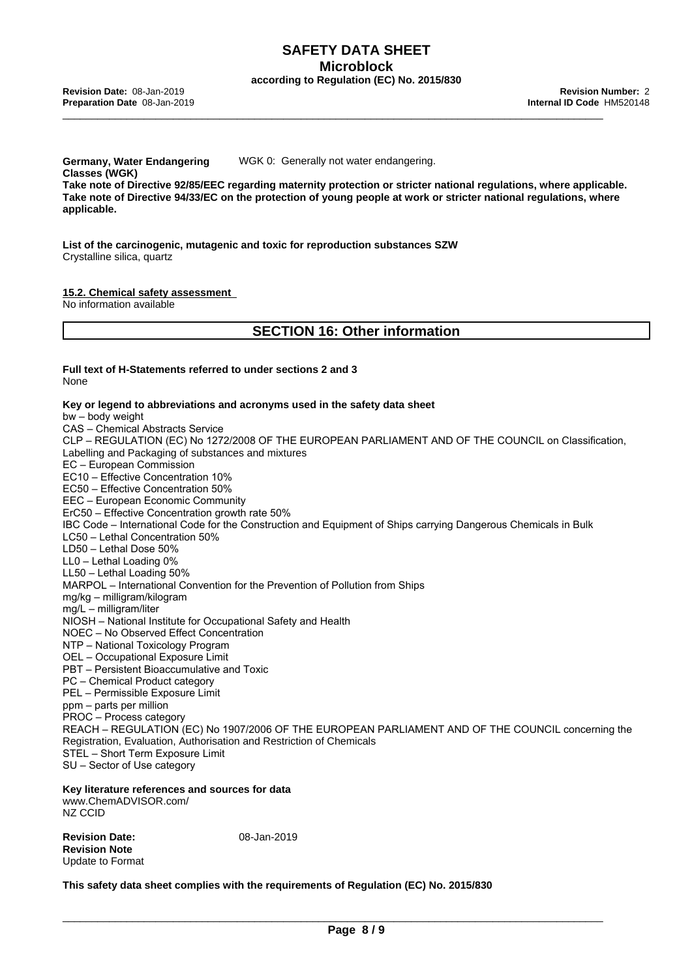**Germany, Water Endangering Classes (WGK)** WGK 0: Generally not water endangering. **Take note of Directive 92/85/EEC regarding maternity protection or stricter national regulations, where applicable.** Take note of Directive 94/33/EC on the protection of young people at work or stricter national regulations, where **applicable.**

**List of the carcinogenic, mutagenic and toxic forreproduction substances SZW** Crystalline silica, quartz

#### **15.2. Chemical safety assessment**

No information available

## **SECTION 16: Other information**

#### **Full text of H-Statements referred to under sections 2 and 3** None

#### **Key or legend to abbreviations and acronyms used in the safety data sheet**

bw–bodyweight CAS - Chemical Abstracts Service CLP – REGULATION (EC) No 1272/2008 OF THE EUROPEAN PARLIAMENT AND OF THE COUNCIL on Classification, Labelling and Packaging of substances and mixtures EC–EuropeanCommission EC10 - Effective Concentration 10% EC50 - Effective Concentration 50% EEC - European Economic Community ErC50 – Effective Concentration growth rate 50% IBC Code – International Code for the Construction and Equipment of Ships carrying Dangerous Chemicals in Bulk LC50 - Lethal Concentration 50% LD50 - Lethal Dose 50% LL0 - Lethal Loading 0%  $LL50$  – Lethal Loading  $50\%$ MARPOL – International Convention for the Prevention of Pollution from Ships mg/kg–milligram/kilogram mg/L–milligram/liter NIOSH – National Institute for Occupational Safety and Health NOEC – No Observed Effect Concentration NTP - National Toxicology Program OEL - Occupational Exposure Limit PBT – Persistent Bioaccumulative and Toxic PC - Chemical Product category PEL - Permissible Exposure Limit ppm – parts per million PROC – Process category REACH – REGULATION (EC) No 1907/2006 OF THE EUROPEAN PARLIAMENT AND OF THE COUNCIL concerning the Registration, Evaluation, Authorisation and Restriction of Chemicals STEL - Short Term Exposure Limit SU - Sector of Use category

## **Key literature references and sources for data**

www.ChemADVISOR.com/ NZ CCID

**Revision Date:** 08-Jan-2019 **Revision Note** Update to Format

**This safety data sheet complies with the requirements of Regulation (EC) No. 2015/830**